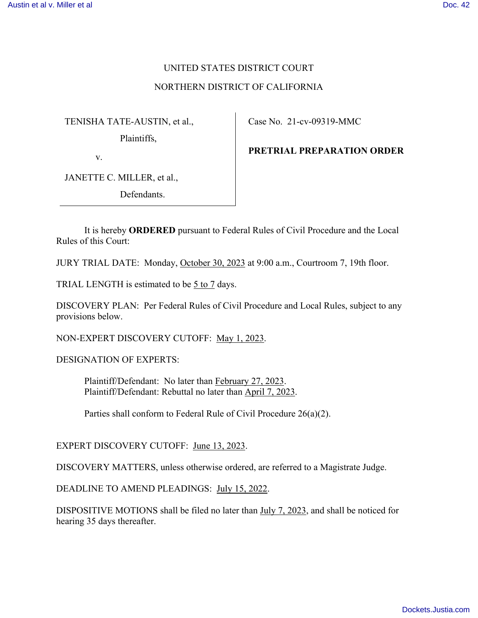# UNITED STATES DISTRICT COURT

#### NORTHERN DISTRICT OF CALIFORNIA

TENISHA TATE-AUSTIN, et al.,

Plaintiffs,

v.

JANETTE C. MILLER, et al.,

Defendants.

Case No. 21-cv-09319-MMC

**PRETRIAL PREPARATION ORDER** 

It is hereby **ORDERED** pursuant to Federal Rules of Civil Procedure and the Local Rules of this Court:

JURY TRIAL DATE: Monday, October 30, 2023 at 9:00 a.m., Courtroom 7, 19th floor.

TRIAL LENGTH is estimated to be 5 to 7 days.

DISCOVERY PLAN: Per Federal Rules of Civil Procedure and Local Rules, subject to any provisions below.

NON-EXPERT DISCOVERY CUTOFF: May 1, 2023.

DESIGNATION OF EXPERTS:

Plaintiff/Defendant: No later than February 27, 2023. Plaintiff/Defendant: Rebuttal no later than April 7, 2023.

Parties shall conform to Federal Rule of Civil Procedure 26(a)(2).

EXPERT DISCOVERY CUTOFF: June 13, 2023.

DISCOVERY MATTERS, unless otherwise ordered, are referred to a Magistrate Judge.

DEADLINE TO AMEND PLEADINGS: July 15, 2022.

DISPOSITIVE MOTIONS shall be filed no later than July 7, 2023, and shall be noticed for hearing 35 days thereafter.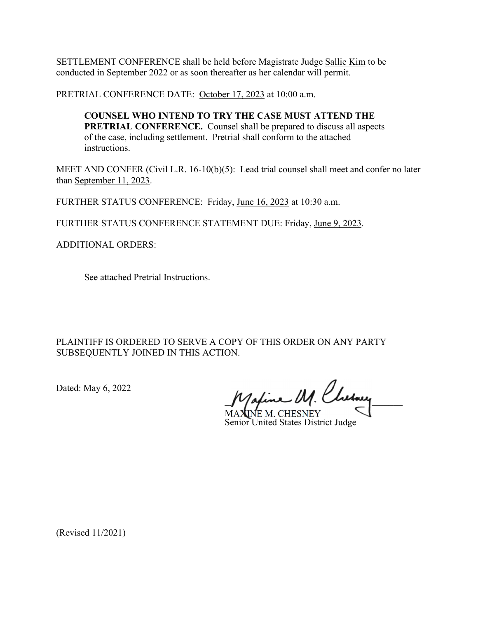SETTLEMENT CONFERENCE shall be held before Magistrate Judge Sallie Kim to be conducted in September 2022 or as soon thereafter as her calendar will permit.

PRETRIAL CONFERENCE DATE: October 17, 2023 at 10:00 a.m.

**COUNSEL WHO INTEND TO TRY THE CASE MUST ATTEND THE PRETRIAL CONFERENCE.** Counsel shall be prepared to discuss all aspects of the case, including settlement. Pretrial shall conform to the attached instructions.

MEET AND CONFER (Civil L.R. 16-10(b)(5): Lead trial counsel shall meet and confer no later than September 11, 2023.

FURTHER STATUS CONFERENCE: Friday, June 16, 2023 at 10:30 a.m.

FURTHER STATUS CONFERENCE STATEMENT DUE: Friday, June 9, 2023.

ADDITIONAL ORDERS:

See attached Pretrial Instructions.

PLAINTIFF IS ORDERED TO SERVE A COPY OF THIS ORDER ON ANY PARTY SUBSEQUENTLY JOINED IN THIS ACTION.

Dated: May 6, 2022

Maxime M. Cherney

**VE M. CHESNEY** Senior United States District Judge

(Revised 11/2021)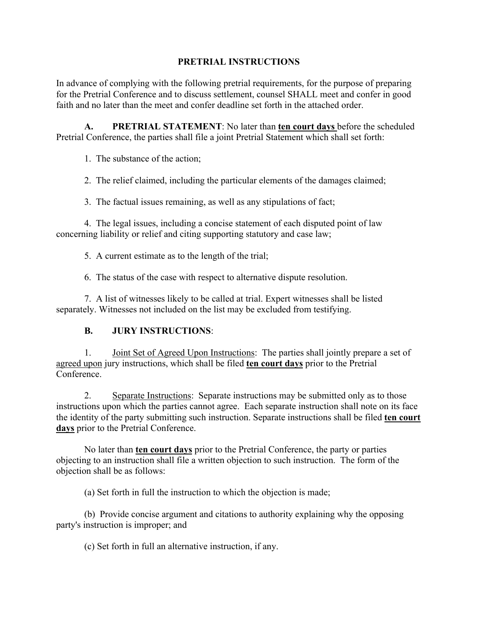#### **PRETRIAL INSTRUCTIONS**

In advance of complying with the following pretrial requirements, for the purpose of preparing for the Pretrial Conference and to discuss settlement, counsel SHALL meet and confer in good faith and no later than the meet and confer deadline set forth in the attached order.

**A. PRETRIAL STATEMENT**: No later than **ten court days** before the scheduled Pretrial Conference, the parties shall file a joint Pretrial Statement which shall set forth:

1. The substance of the action;

2. The relief claimed, including the particular elements of the damages claimed;

3. The factual issues remaining, as well as any stipulations of fact;

 4. The legal issues, including a concise statement of each disputed point of law concerning liability or relief and citing supporting statutory and case law;

5. A current estimate as to the length of the trial;

6. The status of the case with respect to alternative dispute resolution.

 7. A list of witnesses likely to be called at trial. Expert witnesses shall be listed separately. Witnesses not included on the list may be excluded from testifying.

## **B. JURY INSTRUCTIONS**:

 1. Joint Set of Agreed Upon Instructions: The parties shall jointly prepare a set of agreed upon jury instructions, which shall be filed **ten court days** prior to the Pretrial Conference.

 2. Separate Instructions: Separate instructions may be submitted only as to those instructions upon which the parties cannot agree. Each separate instruction shall note on its face the identity of the party submitting such instruction. Separate instructions shall be filed **ten court days** prior to the Pretrial Conference.

 No later than **ten court days** prior to the Pretrial Conference, the party or parties objecting to an instruction shall file a written objection to such instruction. The form of the objection shall be as follows:

(a) Set forth in full the instruction to which the objection is made;

 (b) Provide concise argument and citations to authority explaining why the opposing party's instruction is improper; and

(c) Set forth in full an alternative instruction, if any.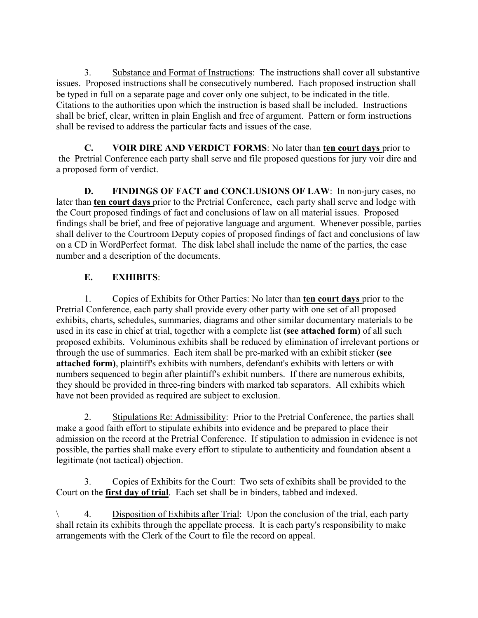3. Substance and Format of Instructions: The instructions shall cover all substantive issues. Proposed instructions shall be consecutively numbered. Each proposed instruction shall be typed in full on a separate page and cover only one subject, to be indicated in the title. Citations to the authorities upon which the instruction is based shall be included. Instructions shall be brief, clear, written in plain English and free of argument. Pattern or form instructions shall be revised to address the particular facts and issues of the case.

**C. VOIR DIRE AND VERDICT FORMS**: No later than **ten court days** prior to the Pretrial Conference each party shall serve and file proposed questions for jury voir dire and a proposed form of verdict.

**D. FINDINGS OF FACT and CONCLUSIONS OF LAW**: In non-jury cases, no later than **ten court days** prior to the Pretrial Conference, each party shall serve and lodge with the Court proposed findings of fact and conclusions of law on all material issues. Proposed findings shall be brief, and free of pejorative language and argument. Whenever possible, parties shall deliver to the Courtroom Deputy copies of proposed findings of fact and conclusions of law on a CD in WordPerfect format. The disk label shall include the name of the parties, the case number and a description of the documents.

# **E. EXHIBITS**:

 1. Copies of Exhibits for Other Parties: No later than **ten court days** prior to the Pretrial Conference, each party shall provide every other party with one set of all proposed exhibits, charts, schedules, summaries, diagrams and other similar documentary materials to be used in its case in chief at trial, together with a complete list **(see attached form)** of all such proposed exhibits. Voluminous exhibits shall be reduced by elimination of irrelevant portions or through the use of summaries. Each item shall be pre-marked with an exhibit sticker **(see attached form)**, plaintiff's exhibits with numbers, defendant's exhibits with letters or with numbers sequenced to begin after plaintiff's exhibit numbers. If there are numerous exhibits, they should be provided in three-ring binders with marked tab separators. All exhibits which have not been provided as required are subject to exclusion.

 2. Stipulations Re: Admissibility: Prior to the Pretrial Conference, the parties shall make a good faith effort to stipulate exhibits into evidence and be prepared to place their admission on the record at the Pretrial Conference. If stipulation to admission in evidence is not possible, the parties shall make every effort to stipulate to authenticity and foundation absent a legitimate (not tactical) objection.

 3. Copies of Exhibits for the Court: Two sets of exhibits shall be provided to the Court on the **first day of trial**. Each set shall be in binders, tabbed and indexed.

\ 4. Disposition of Exhibits after Trial: Upon the conclusion of the trial, each party shall retain its exhibits through the appellate process. It is each party's responsibility to make arrangements with the Clerk of the Court to file the record on appeal.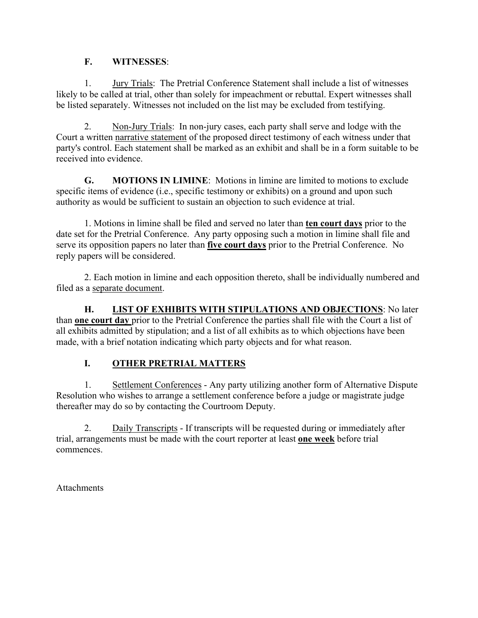#### **F. WITNESSES**:

 1. Jury Trials: The Pretrial Conference Statement shall include a list of witnesses likely to be called at trial, other than solely for impeachment or rebuttal. Expert witnesses shall be listed separately. Witnesses not included on the list may be excluded from testifying.

 2. Non-Jury Trials: In non-jury cases, each party shall serve and lodge with the Court a written narrative statement of the proposed direct testimony of each witness under that party's control. Each statement shall be marked as an exhibit and shall be in a form suitable to be received into evidence.

**G. MOTIONS IN LIMINE**: Motions in limine are limited to motions to exclude specific items of evidence (i.e., specific testimony or exhibits) on a ground and upon such authority as would be sufficient to sustain an objection to such evidence at trial.

 1. Motions in limine shall be filed and served no later than **ten court days** prior to the date set for the Pretrial Conference. Any party opposing such a motion in limine shall file and serve its opposition papers no later than **five court days** prior to the Pretrial Conference. No reply papers will be considered.

 2. Each motion in limine and each opposition thereto, shall be individually numbered and filed as a separate document.

**H. LIST OF EXHIBITS WITH STIPULATIONS AND OBJECTIONS**: No later than **one court day** prior to the Pretrial Conference the parties shall file with the Court a list of all exhibits admitted by stipulation; and a list of all exhibits as to which objections have been made, with a brief notation indicating which party objects and for what reason.

# **I. OTHER PRETRIAL MATTERS**

 1. Settlement Conferences - Any party utilizing another form of Alternative Dispute Resolution who wishes to arrange a settlement conference before a judge or magistrate judge thereafter may do so by contacting the Courtroom Deputy.

 2. Daily Transcripts - If transcripts will be requested during or immediately after trial, arrangements must be made with the court reporter at least **one week** before trial commences.

**Attachments**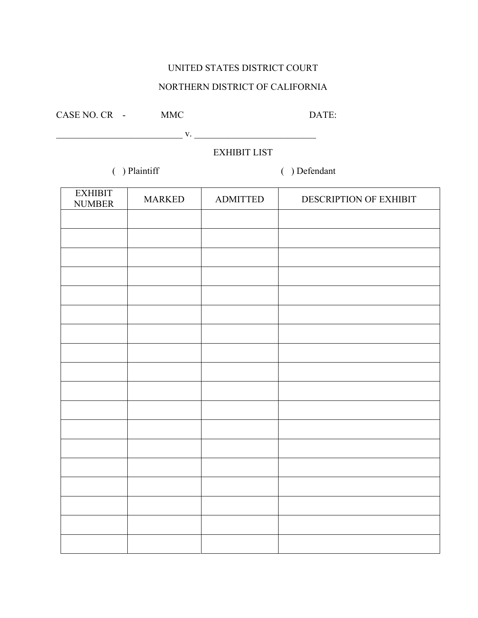## UNITED STATES DISTRICT COURT

## NORTHERN DISTRICT OF CALIFORNIA

| CASE NO. CR<br>$\overline{\phantom{a}}$ | MMC | DATE: |
|-----------------------------------------|-----|-------|
|-----------------------------------------|-----|-------|

\_\_\_\_\_\_\_\_\_\_\_\_\_\_\_\_\_\_\_\_\_\_\_\_\_\_\_ v. \_\_\_\_\_\_\_\_\_\_\_\_\_\_\_\_\_\_\_\_\_\_\_\_\_\_

# EXHIBIT LIST

( ) Plaintiff ( ) Defendant

| <b>EXHIBIT</b><br><b>NUMBER</b> | <b>MARKED</b> | <b>ADMITTED</b> | DESCRIPTION OF EXHIBIT |
|---------------------------------|---------------|-----------------|------------------------|
|                                 |               |                 |                        |
|                                 |               |                 |                        |
|                                 |               |                 |                        |
|                                 |               |                 |                        |
|                                 |               |                 |                        |
|                                 |               |                 |                        |
|                                 |               |                 |                        |
|                                 |               |                 |                        |
|                                 |               |                 |                        |
|                                 |               |                 |                        |
|                                 |               |                 |                        |
|                                 |               |                 |                        |
|                                 |               |                 |                        |
|                                 |               |                 |                        |
|                                 |               |                 |                        |
|                                 |               |                 |                        |
|                                 |               |                 |                        |
|                                 |               |                 |                        |